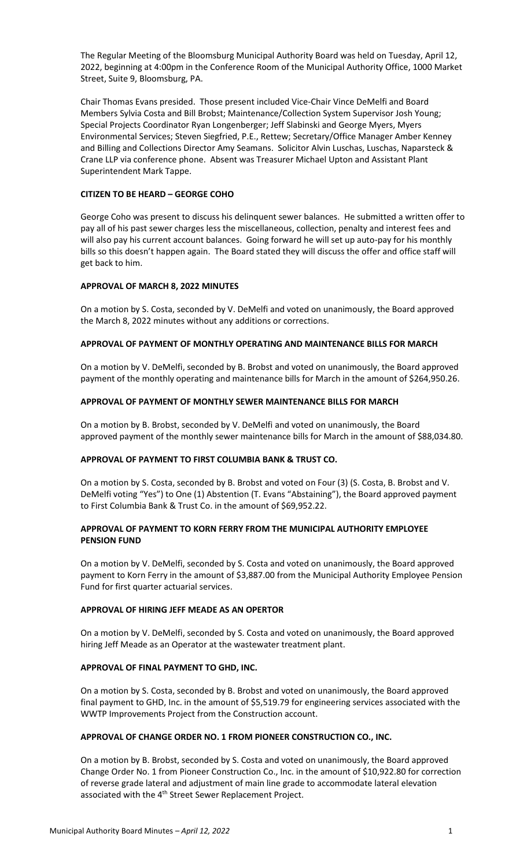The Regular Meeting of the Bloomsburg Municipal Authority Board was held on Tuesday, April 12, 2022, beginning at 4:00pm in the Conference Room of the Municipal Authority Office, 1000 Market Street, Suite 9, Bloomsburg, PA.

Chair Thomas Evans presided. Those present included Vice-Chair Vince DeMelfi and Board Members Sylvia Costa and Bill Brobst; Maintenance/Collection System Supervisor Josh Young; Special Projects Coordinator Ryan Longenberger; Jeff Slabinski and George Myers, Myers Environmental Services; Steven Siegfried, P.E., Rettew; Secretary/Office Manager Amber Kenney and Billing and Collections Director Amy Seamans. Solicitor Alvin Luschas, Luschas, Naparsteck & Crane LLP via conference phone. Absent was Treasurer Michael Upton and Assistant Plant Superintendent Mark Tappe.

# **CITIZEN TO BE HEARD – GEORGE COHO**

George Coho was present to discuss his delinquent sewer balances. He submitted a written offer to pay all of his past sewer charges less the miscellaneous, collection, penalty and interest fees and will also pay his current account balances. Going forward he will set up auto-pay for his monthly bills so this doesn't happen again. The Board stated they will discuss the offer and office staff will get back to him.

# **APPROVAL OF MARCH 8, 2022 MINUTES**

On a motion by S. Costa, seconded by V. DeMelfi and voted on unanimously, the Board approved the March 8, 2022 minutes without any additions or corrections.

# **APPROVAL OF PAYMENT OF MONTHLY OPERATING AND MAINTENANCE BILLS FOR MARCH**

On a motion by V. DeMelfi, seconded by B. Brobst and voted on unanimously, the Board approved payment of the monthly operating and maintenance bills for March in the amount of \$264,950.26.

# **APPROVAL OF PAYMENT OF MONTHLY SEWER MAINTENANCE BILLS FOR MARCH**

On a motion by B. Brobst, seconded by V. DeMelfi and voted on unanimously, the Board approved payment of the monthly sewer maintenance bills for March in the amount of \$88,034.80.

### **APPROVAL OF PAYMENT TO FIRST COLUMBIA BANK & TRUST CO.**

On a motion by S. Costa, seconded by B. Brobst and voted on Four (3) (S. Costa, B. Brobst and V. DeMelfi voting "Yes") to One (1) Abstention (T. Evans "Abstaining"), the Board approved payment to First Columbia Bank & Trust Co. in the amount of \$69,952.22.

# **APPROVAL OF PAYMENT TO KORN FERRY FROM THE MUNICIPAL AUTHORITY EMPLOYEE PENSION FUND**

On a motion by V. DeMelfi, seconded by S. Costa and voted on unanimously, the Board approved payment to Korn Ferry in the amount of \$3,887.00 from the Municipal Authority Employee Pension Fund for first quarter actuarial services.

### **APPROVAL OF HIRING JEFF MEADE AS AN OPERTOR**

On a motion by V. DeMelfi, seconded by S. Costa and voted on unanimously, the Board approved hiring Jeff Meade as an Operator at the wastewater treatment plant.

### **APPROVAL OF FINAL PAYMENT TO GHD, INC.**

On a motion by S. Costa, seconded by B. Brobst and voted on unanimously, the Board approved final payment to GHD, Inc. in the amount of \$5,519.79 for engineering services associated with the WWTP Improvements Project from the Construction account.

### **APPROVAL OF CHANGE ORDER NO. 1 FROM PIONEER CONSTRUCTION CO., INC.**

On a motion by B. Brobst, seconded by S. Costa and voted on unanimously, the Board approved Change Order No. 1 from Pioneer Construction Co., Inc. in the amount of \$10,922.80 for correction of reverse grade lateral and adjustment of main line grade to accommodate lateral elevation associated with the 4<sup>th</sup> Street Sewer Replacement Project.